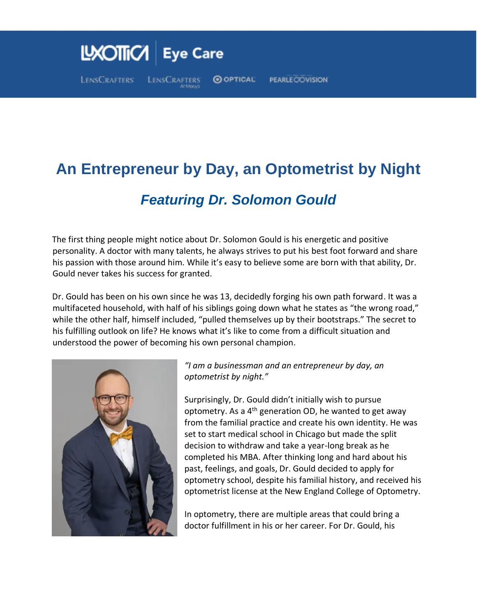## LXOTTICA Eye Care **LENSCRAFTERS** O OPTICAL **PEARLE COVISION** LENSCRAFTERS

## **An Entrepreneur by Day, an Optometrist by Night**

## *Featuring Dr. Solomon Gould*

The first thing people might notice about Dr. Solomon Gould is his energetic and positive personality. A doctor with many talents, he always strives to put his best foot forward and share his passion with those around him. While it's easy to believe some are born with that ability, Dr. Gould never takes his success for granted.

Dr. Gould has been on his own since he was 13, decidedly forging his own path forward. It was a multifaceted household, with half of his siblings going down what he states as "the wrong road," while the other half, himself included, "pulled themselves up by their bootstraps." The secret to his fulfilling outlook on life? He knows what it's like to come from a difficult situation and understood the power of becoming his own personal champion.



*"I am a businessman and an entrepreneur by day, an optometrist by night."* 

Surprisingly, Dr. Gould didn't initially wish to pursue optometry. As a  $4<sup>th</sup>$  generation OD, he wanted to get away from the familial practice and create his own identity. He was set to start medical school in Chicago but made the split decision to withdraw and take a year-long break as he completed his MBA. After thinking long and hard about his past, feelings, and goals, Dr. Gould decided to apply for optometry school, despite his familial history, and received his optometrist license at the New England College of Optometry.

In optometry, there are multiple areas that could bring a doctor fulfillment in his or her career. For Dr. Gould, his